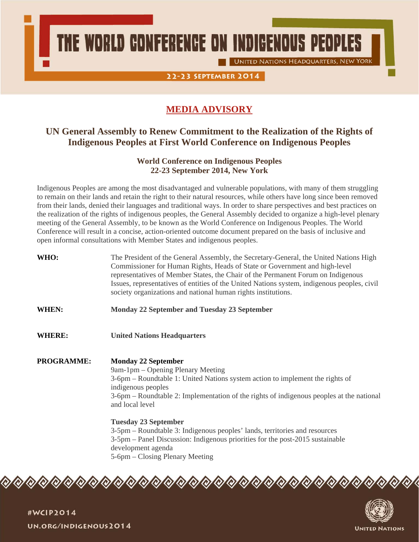THE WORLD CONFERENCE ON INDIGENOUS PEOPLES

**UNITED NATIONS HEADQUARTERS, NEW YORK** 

22-23 SEPTEMBER 2014

# **MEDIA ADVISORY**

# **UN General Assembly to Renew Commitment to the Realization of the Rights of Indigenous Peoples at First World Conference on Indigenous Peoples**

# **World Conference on Indigenous Peoples 22-23 September 2014, New York**

Indigenous Peoples are among the most disadvantaged and vulnerable populations, with many of them struggling to remain on their lands and retain the right to their natural resources, while others have long since been removed from their lands, denied their languages and traditional ways. In order to share perspectives and best practices on the realization of the rights of indigenous peoples, the General Assembly decided to organize a high-level plenary meeting of the General Assembly, to be known as the World Conference on Indigenous Peoples. The World Conference will result in a concise, action-oriented outcome document prepared on the basis of inclusive and open informal consultations with Member States and indigenous peoples.

- **WHO:** The President of the General Assembly, the Secretary-General, the United Nations High Commissioner for Human Rights, Heads of State or Government and high-level representatives of Member States, the Chair of the Permanent Forum on Indigenous Issues, representatives of entities of the United Nations system, indigenous peoples, civil society organizations and national human rights institutions.
- **WHEN: Monday 22 September and Tuesday 23 September**
- **WHERE: United Nations Headquarters**

**PROGRAMME: Monday 22 September**  9am-1pm – Opening Plenary Meeting 3-6pm – Roundtable 1: United Nations system action to implement the rights of indigenous peoples 3-6pm – Roundtable 2: Implementation of the rights of indigenous peoples at the national and local level

> **Tuesday 23 September**  3-5pm – Roundtable 3: Indigenous peoples' lands, territories and resources 3-5pm – Panel Discussion: Indigenous priorities for the post-2015 sustainable development agenda 5-6pm – Closing Plenary Meeting

Q) Q) Q) Q) Q) Q) Q) Q) Q) Q) Q) Q) QT QT  $Q/Q/Q/Q$ 



#WCIP2014 UN.ORG/INDIGENOUS2014